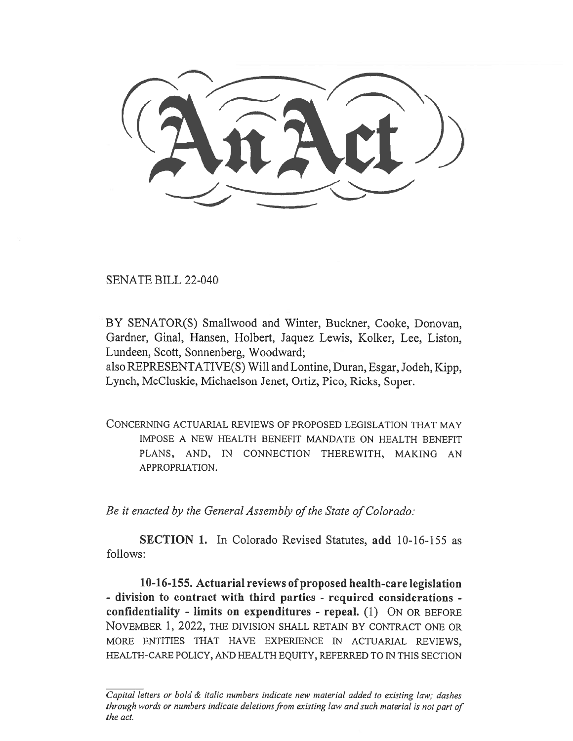SENATE BILL 22-040

BY SENATOR(S) Smallwood and Winter, Buckner, Cooke, Donovan, Gardner, Ginal, Hansen, Holbert, Jaquez Lewis, Kolker, Lee, Liston, Lundeen, Scott, Sonnenberg, Woodward;

also REPRESENTATIVE(S) Will and Lontine, Duran, Esgar, Jodeh, Kipp, Lynch, McCluskie, Michaelson Jenet, Ortiz, Pico, Ricks, Soper.

CONCERNING ACTUARIAL REVIEWS OF PROPOSED LEGISLATION THAT MAY IMPOSE A NEW HEALTH BENEFIT MANDATE ON HEALTH BENEFIT PLANS, AND, IN CONNECTION THEREWITH, MAKING AN APPROPRIATION.

Be it enacted by the General Assembly of the State of Colorado:

SECTION 1. In Colorado Revised Statutes, add 10-16-155 as follows:

10-16-155. Actuarial reviews of proposed health-care legislation - division to contract with third parties - required considerations confidentiality - limits on expenditures - repeal. (1) ON OR BEFORE NOVEMBER 1, 2022, THE DIVISION SHALL RETAIN BY CONTRACT ONE OR MORE ENTITIES THAT HAVE EXPERIENCE IN ACTUARIAL REVIEWS, HEALTH-CARE POLICY, AND HEALTH EQUITY, REFERRED TO IN THIS SECTION

Capital letters or bold & italic numbers indicate new material added to existing law; dashes through words or numbers indicate deletions from existing law and such material is not part of the act.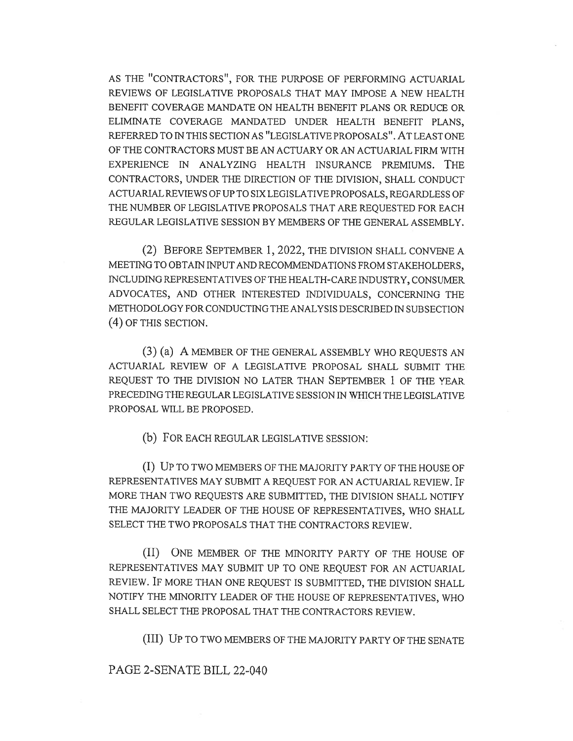AS THE "CONTRACTORS", FOR THE PURPOSE OF PERFORMING ACTUARIAL REVIEWS OF LEGISLATIVE PROPOSALS THAT MAY IMPOSE A NEW HEALTH BENEFIT COVERAGE MANDATE ON HEALTH BENEFIT PLANS OR REDUCE OR ELIMINATE COVERAGE MANDATED UNDER HEALTH BENEFIT PLANS, REFERRED TO IN THIS SECTION AS "LEGISLATIVE PROPOSALS". AT LEAST ONE OF THE CONTRACTORS MUST BE AN ACTUARY OR AN ACTUARIAL FIRM WITH EXPERIENCE IN ANALYZING HEALTH INSURANCE PREMIUMS. THE CONTRACTORS, UNDER THE DIRECTION OF THE DIVISION, SHALL CONDUCT ACTUARIAL REVIEWS OF UP TO SIX LEGISLATIVE PROPOSALS, REGARDLESS OF THE NUMBER OF LEGISLATIVE PROPOSALS THAT ARE REQUESTED FOR EACH REGULAR LEGISLATIVE SESSION BY MEMBERS OF THE GENERAL ASSEMBLY.

(2) BEFORE SEPTEMBER 1, 2022, THE DIVISION SHALL CONVENE A MEETING TO OBTAIN INPUT AND RECOMMENDATIONS FROM STAKEHOLDERS, INCLUDING REPRESENTATIVES OF THE HEALTH-CARE INDUSTRY, CONSUMER ADVOCATES, AND OTHER INTERESTED INDIVIDUALS, CONCERNING THE METHODOLOGY FOR CONDUCTING THE ANALYSIS DESCRIBED IN SUBSECTION (4) OF THIS SECTION.

(3) (a) A MEMBER OF THE GENERAL ASSEMBLY WHO REQUESTS AN ACTUARIAL REVIEW OF A LEGISLATIVE PROPOSAL SHALL SUBMIT THE REQUEST TO THE DIVISION NO LATER THAN SEPTEMBER 1 OF THE YEAR PRECEDING THE REGULAR LEGISLATIVE SESSION IN WHICH THE LEGISLATIVE PROPOSAL WILL BE PROPOSED.

(b) FOR EACH REGULAR LEGISLATIVE SESSION:

(I) UP TO TWO MEMBERS OF THE MAJORITY PARTY OF THE HOUSE OF REPRESENTATIVES MAY SUBMIT A REQUEST FOR AN ACTUARIAL REVIEW. IF MORE THAN TWO REQUESTS ARE SUBMITTED, THE DIVISION SHALL NOTIFY THE MAJORITY LEADER OF THE HOUSE OF REPRESENTATIVES, WHO SHALL SELECT THE TWO PROPOSALS THAT THE CONTRACTORS REVIEW.

(II) ONE MEMBER OF THE MINORITY PARTY OF THE HOUSE OF REPRESENTATIVES MAY SUBMIT UP TO ONE REQUEST FOR AN ACTUARIAL REVIEW. IF MORE THAN ONE REQUEST IS SUBMITTED, THE DIVISION SHALL NOTIFY THE MINORITY LEADER OF THE HOUSE OF REPRESENTATIVES, WHO SHALL SELECT THE PROPOSAL THAT THE CONTRACTORS REVIEW.

(III) UP TO TWO MEMBERS OF THE MAJORITY PARTY OF THE SENATE

## PAGE 2-SENATE BILL 22-040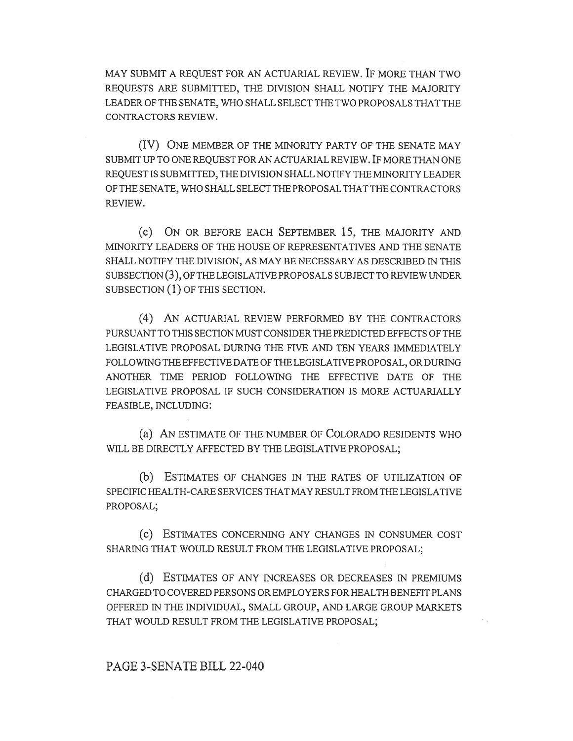MAY SUBMIT A REQUEST FOR AN ACTUARIAL REVIEW. IF MORE THAN TWO REQUESTS ARE SUBMITTED, THE DIVISION SHALL NOTIFY THE MAJORITY LEADER OF THE SENATE, WHO SHALL SELECT THE TWO PROPOSALS THAT THE CONTRACTORS REVIEW.

(IV) ONE MEMBER OF THE MINORITY PARTY OF THE SENATE MAY SUBMIT UP TO ONE REQUEST FOR AN ACTUARIAL REVIEW. IF MORE THAN ONE REQUEST IS SUBMITTED, THE DIVISION SHALL NOTIFY THE MINORITY LEADER OF THE SENATE, WHO SHALL SELECT THE PROPOSAL THAT THE CONTRACTORS REVIEW.

(c) ON OR BEFORE EACH SEPTEMBER 15, THE MAJORITY AND MINORITY LEADERS OF THE HOUSE OF REPRESENTATIVES AND THE SENATE SHALL NOTIFY THE DIVISION, AS MAY BE NECESSARY AS DESCRIBED IN THIS SUBSECTION (3), OF THE LEGISLATIVE PROPOSALS SUBJECT TO REVIEW UNDER SUBSECTION (1) OF THIS SECTION.

(4) AN ACTUARIAL REVIEW PERFORMED BY THE CONTRACTORS PURSUANT TO THIS SECTION MUST CONSIDER THE PREDICTED EFFECTS OF THE LEGISLATIVE PROPOSAL DURING THE FIVE AND TEN YEARS IMMEDIATELY FOLLOWING THE EFFECTIVE DATE OF THE LEGISLATIVE PROPOSAL, OR DURING ANOTHER TIME PERIOD FOLLOWING THE EFFECTIVE DATE OF THE LEGISLATIVE PROPOSAL IF SUCH CONSIDERATION IS MORE ACTUARIALLY FEASIBLE, INCLUDING:

(a) AN ESTIMATE OF THE NUMBER OF COLORADO RESIDENTS WHO WILL BE DIRECTLY AFFECTED BY THE LEGISLATIVE PROPOSAL;

(b) ESTIMATES OF CHANGES IN THE RATES OF UTILIZATION OF SPECIFIC HEALTH-CARE SERVICES THAT MAY RESULT FROM THE LEGISLATIVE PROPOSAL;

(c) ESTIMATES CONCERNING ANY CHANGES IN CONSUMER COST SHARING THAT WOULD RESULT FROM THE LEGISLATIVE PROPOSAL;

(d) ESTIMATES OF ANY INCREASES OR DECREASES IN PREMIUMS CHARGED TO COVERED PERSONS OR EMPLOYERS FOR HEALTH BENEFIT PLANS OFFERED IN THE INDIVIDUAL, SMALL GROUP, AND LARGE GROUP MARKETS THAT WOULD RESULT FROM THE LEGISLATIVE PROPOSAL;

 $\infty$ 

## PAGE 3-SENATE BILL 22-040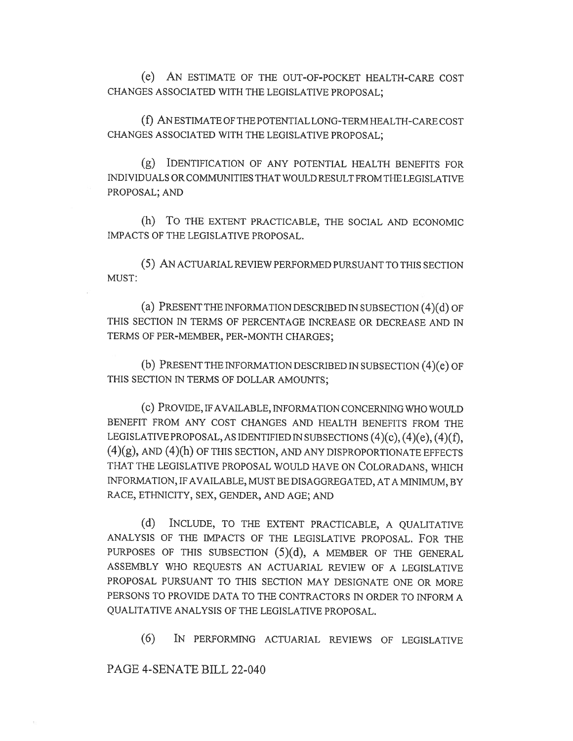(e) AN ESTIMATE OF THE OUT-OF-POCKET HEALTH-CARE COST CHANGES ASSOCIATED WITH THE LEGISLATIVE PROPOSAL;

(f) AN ESTIMATE OF THE POTENTIAL LONG-TERM HEALTH-CARE COST CHANGES ASSOCIATED WITH THE LEGISLATIVE PROPOSAL;

(g) IDENTIFICATION OF ANY POTENTIAL HEALTH BENEFITS FOR INDIVIDUALS OR COMMUNITIES THAT WOULD RESULT FROM THE LEGISLATIVE PROPOSAL; AND

(h) To THE EXTENT PRACTICABLE, THE SOCIAL AND ECONOMIC IMPACTS OF THE LEGISLATIVE PROPOSAL.

(5) AN ACTUARIAL REVIEW PERFORMED PURSUANT TO THIS SECTION MUST:

(a) PRESENT THE INFORMATION DESCRIBED IN SUBSECTION (4)(d) OF THIS SECTION IN TERMS OF PERCENTAGE INCREASE OR DECREASE AND IN TERMS OF PER-MEMBER, PER-MONTH CHARGES;

(b) PRESENT THE INFORMATION DESCRIBED IN SUBSECTION (4)(e) OF THIS SECTION IN TERMS OF DOLLAR AMOUNTS;

(c) PROVIDE, IF AVAILABLE, INFORMATION CONCERNING WHO WOULD BENEFIT FROM ANY COST CHANGES AND HEALTH BENEFITS FROM THE LEGISLATIVE PROPOSAL, AS IDENTIFIED IN SUBSECTIONS (4)(c), (4)(e), (4)(f), (4)(g), AND (4)(h) OF THIS SECTION, AND ANY DISPROPORTIONATE EFFECTS THAT THE LEGISLATIVE PROPOSAL WOULD HAVE ON COLORADANS, WHICH INFORMATION, IF AVAILABLE, MUST BE DISAGGREGATED, AT A MINIMUM, BY RACE, ETHNICITY, SEX, GENDER, AND AGE; AND

(d) INCLUDE, TO THE EXTENT PRACTICABLE, A QUALITATIVE ANALYSIS OF THE IMPACTS OF THE LEGISLATIVE PROPOSAL. FOR THE PURPOSES OF THIS SUBSECTION (5)(d), A MEMBER OF THE GENERAL ASSEMBLY WHO REQUESTS AN ACTUARIAL REVIEW OF A LEGISLATIVE PROPOSAL PURSUANT TO THIS SECTION MAY DESIGNATE ONE OR MORE PERSONS TO PROVIDE DATA TO THE CONTRACTORS IN ORDER TO INFORM A QUALITATIVE ANALYSIS OF THE LEGISLATIVE PROPOSAL.

(6) IN PERFORMING ACTUARIAL REVIEWS OF LEGISLATIVE

PAGE 4-SENATE BILL 22-040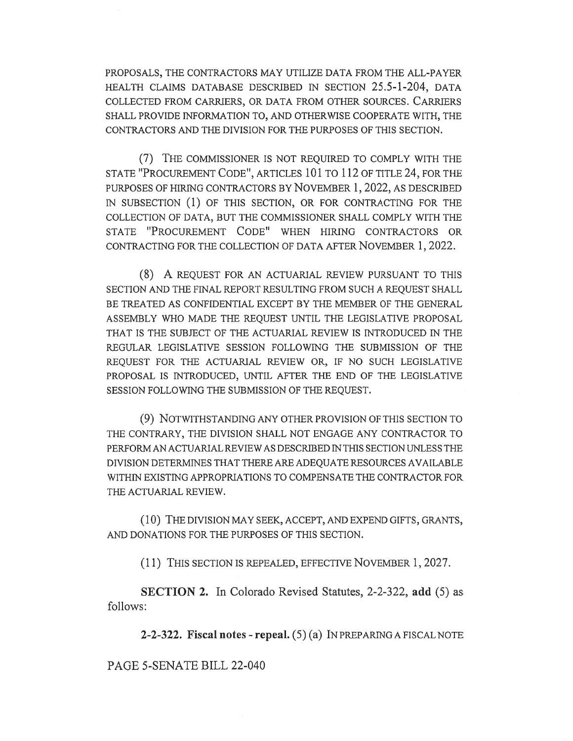PROPOSALS, THE CONTRACTORS MAY UTILIZE DATA FROM THE ALL-PAYER HEALTH CLAIMS DATABASE DESCRIBED IN SECTION 25.5-1-204, DATA COLLECTED FROM CARRIERS, OR DATA FROM OTHER SOURCES. CARRIERS SHALL PROVIDE INFORMATION TO, AND OTHERWISE COOPERATE WITH, THE CONTRACTORS AND THE DIVISION FOR THE PURPOSES OF THIS SECTION.

(7) THE COMMISSIONER IS NOT REQUIRED TO COMPLY WITH THE STATE "PROCUREMENT CODE", ARTICLES 101 TO 112 OF TITLE 24, FOR THE PURPOSES OF HIRING CONTRACTORS BY NOVEMBER 1, 2022, AS DESCRIBED IN SUBSECTION (1) OF THIS SECTION, OR FOR CONTRACTING FOR THE COLLECTION OF DATA, BUT THE COMMISSIONER SHALL COMPLY WITH THE STATE "PROCUREMENT CODE" WHEN HIRING CONTRACTORS OR CONTRACTING FOR THE COLLECTION OF DATA AFTER NOVEMBER 1, 2022.

(8) A REQUEST FOR AN ACTUARIAL REVIEW PURSUANT TO THIS SECTION AND THE FINAL REPORT RESULTING FROM SUCH A REQUEST SHALL BE TREATED AS CONFIDENTIAL EXCEPT BY THE MEMBER OF THE GENERAL ASSEMBLY WHO MADE THE REQUEST UNTIL THE LEGISLATIVE PROPOSAL THAT IS THE SUBJECT OF THE ACTUARIAL REVIEW IS INTRODUCED IN THE REGULAR LEGISLATIVE SESSION FOLLOWING THE SUBMISSION OF THE REQUEST FOR THE ACTUARIAL REVIEW OR, IF NO SUCH LEGISLATIVE PROPOSAL IS INTRODUCED, UNTIL AFTER THE END OF THE LEGISLATIVE SESSION FOLLOWING THE SUBMISSION OF THE REQUEST.

(9) NOTWITHSTANDING ANY OTHER PROVISION OF THIS SECTION TO THE CONTRARY, THE DIVISION SHALL NOT ENGAGE ANY CONTRACTOR TO PERFORM AN ACTUARIAL REVIEW AS DESCRIBED IN THIS SECTION UNLESS THE DIVISION DETERMINES THAT THERE ARE ADEQUATE RESOURCES AVAILABLE WITHIN EXISTING APPROPRIATIONS TO COMPENSATE THE CONTRACTOR FOR THE ACTUARIAL REVIEW.

(10) THE DIVISION MAY SEEK, ACCEPT, AND EXPEND GIFTS, GRANTS, AND DONATIONS FOR THE PURPOSES OF THIS SECTION.

(11) THIS SECTION IS REPEALED, EFFECTIVE NOVEMBER 1, 2027.

SECTION 2. In Colorado Revised Statutes, 2-2-322, add (5) as follows:

2-2-322. Fiscal notes - repeal.  $(5)(a)$  IN PREPARING A FISCAL NOTE

PAGE 5-SENATE BILL 22-040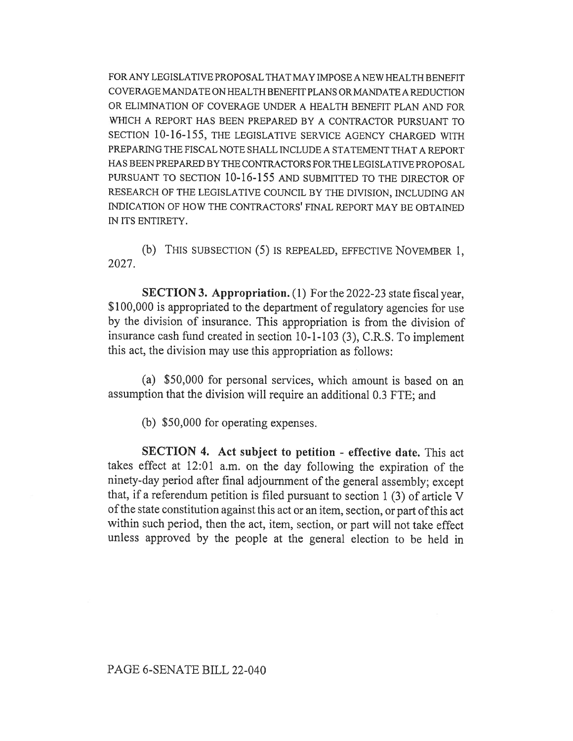FOR ANY LEGISLATIVE PROPOSAL THAT MAY IMPOSE A NEW HEALTH BENEFIT COVERAGE MANDATE ON HEALTH BENEFIT PLANS OR MANDATE A REDUCTION OR ELIMINATION OF COVERAGE UNDER A HEALTH BENEFIT PLAN AND FOR WHICH A REPORT HAS BEEN PREPARED BY A CONTRACTOR PURSUANT TO SECTION 10-16-155, THE LEGISLATIVE SERVICE AGENCY CHARGED WITH PREPARING THE FISCAL NOTE SHALL INCLUDE A STATEMENT THAT A REPORT HAS BEEN PREPARED BY THE CONTRACTORS FOR THE LEGISLATIVE PROPOSAL PURSUANT TO SECTION 10-16-155 AND SUBMITTED TO THE DIRECTOR OF RESEARCH OF THE LEGISLATIVE COUNCIL BY THE DIVISION, INCLUDING AN INDICATION OF HOW THE CONTRACTORS' FINAL REPORT MAY BE OBTAINED IN ITS ENTIRETY.

(b) THIS SUBSECTION (5) IS REPEALED, EFFECTIVE NOVEMBER 1, 2027.

SECTION 3. Appropriation. (1) For the 2022-23 state fiscal year, \$100,000 is appropriated to the department of regulatory agencies for use by the division of insurance. This appropriation is from the division of insurance cash fund created in section 10-1-103 (3), C.R.S. To implement this act, the division may use this appropriation as follows:

(a) \$50,000 for personal services, which amount is based on an assumption that the division will require an additional 0.3 FTE; and

(b) \$50,000 for operating expenses.

SECTION 4. Act subject to petition - effective date. This act takes effect at 12:01 a.m. on the day following the expiration of the ninety-day period after final adjournment of the general assembly; except that, if a referendum petition is filed pursuant to section 1 (3) of article V of the state constitution against this act or an item, section, or part of this act within such period, then the act, item, section, or part will not take effect unless approved by the people at the general election to be held in